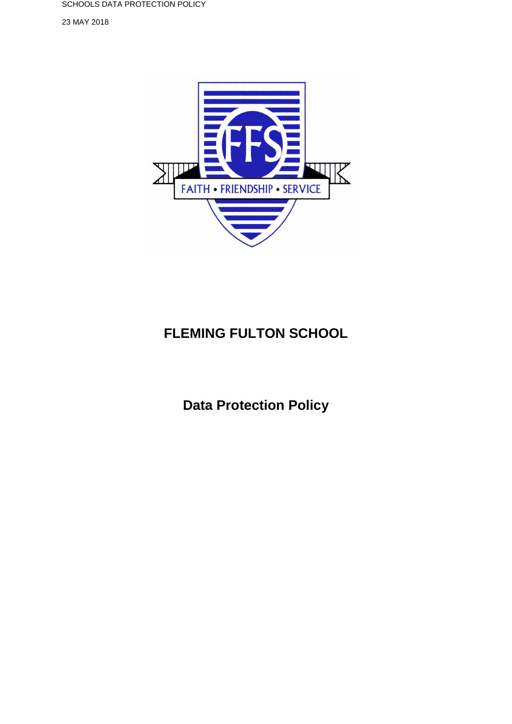SCHOOLS DATA PROTECTION POLICY

23 MAY 2018



# **FLEMING FULTON SCHOOL**

**Data Protection Policy**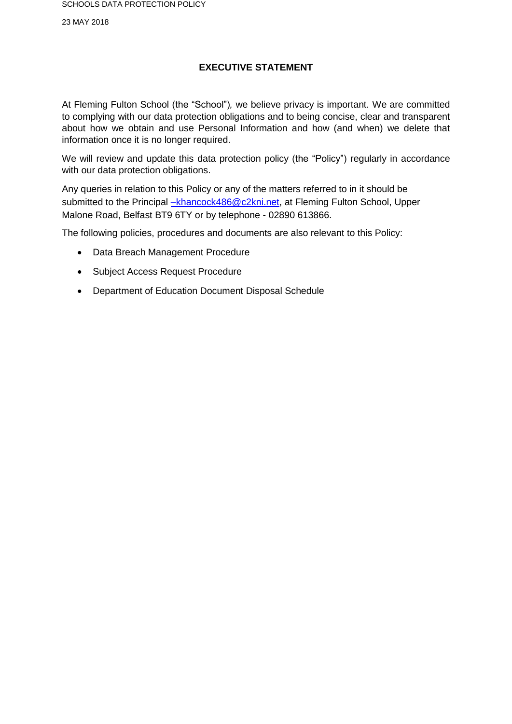23 MAY 2018

# **EXECUTIVE STATEMENT**

At Fleming Fulton School (the "School")*,* we believe privacy is important. We are committed to complying with our data protection obligations and to being concise, clear and transparent about how we obtain and use Personal Information and how (and when) we delete that information once it is no longer required.

We will review and update this data protection policy (the "Policy") regularly in accordance with our data protection obligations.

Any queries in relation to this Policy or any of the matters referred to in it should be submitted to the Principal [–khancock486@c2kni.net,](mailto:%E2%80%93khancock486@c2kni.net) at Fleming Fulton School, Upper Malone Road, Belfast BT9 6TY or by telephone - 02890 613866.

The following policies, procedures and documents are also relevant to this Policy:

- Data Breach Management Procedure
- Subject Access Request Procedure
- Department of Education Document Disposal Schedule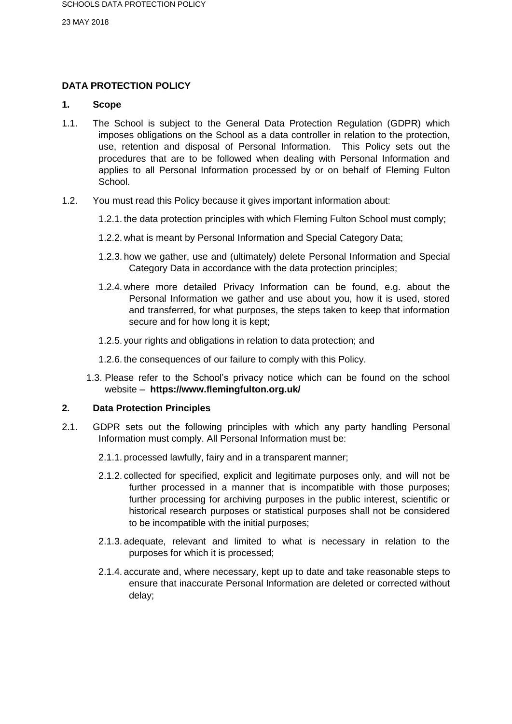# **DATA PROTECTION POLICY**

## **1. Scope**

- 1.1. The School is subject to the General Data Protection Regulation (GDPR) which imposes obligations on the School as a data controller in relation to the protection, use, retention and disposal of Personal Information. This Policy sets out the procedures that are to be followed when dealing with Personal Information and applies to all Personal Information processed by or on behalf of Fleming Fulton School.
- 1.2. You must read this Policy because it gives important information about:
	- 1.2.1. the data protection principles with which Fleming Fulton School must comply;
	- 1.2.2. what is meant by Personal Information and Special Category Data;
	- 1.2.3. how we gather, use and (ultimately) delete Personal Information and Special Category Data in accordance with the data protection principles;
	- 1.2.4. where more detailed Privacy Information can be found, e.g. about the Personal Information we gather and use about you, how it is used, stored and transferred, for what purposes, the steps taken to keep that information secure and for how long it is kept;
	- 1.2.5. your rights and obligations in relation to data protection; and
	- 1.2.6. the consequences of our failure to comply with this Policy.
	- 1.3. Please refer to the School's privacy notice which can be found on the school website – **https://www.flemingfulton.org.uk/**

# **2. Data Protection Principles**

- 2.1. GDPR sets out the following principles with which any party handling Personal Information must comply. All Personal Information must be:
	- 2.1.1. processed lawfully, fairy and in a transparent manner;
	- 2.1.2. collected for specified, explicit and legitimate purposes only, and will not be further processed in a manner that is incompatible with those purposes; further processing for archiving purposes in the public interest, scientific or historical research purposes or statistical purposes shall not be considered to be incompatible with the initial purposes;
	- 2.1.3. adequate, relevant and limited to what is necessary in relation to the purposes for which it is processed;
	- 2.1.4. accurate and, where necessary, kept up to date and take reasonable steps to ensure that inaccurate Personal Information are deleted or corrected without delay;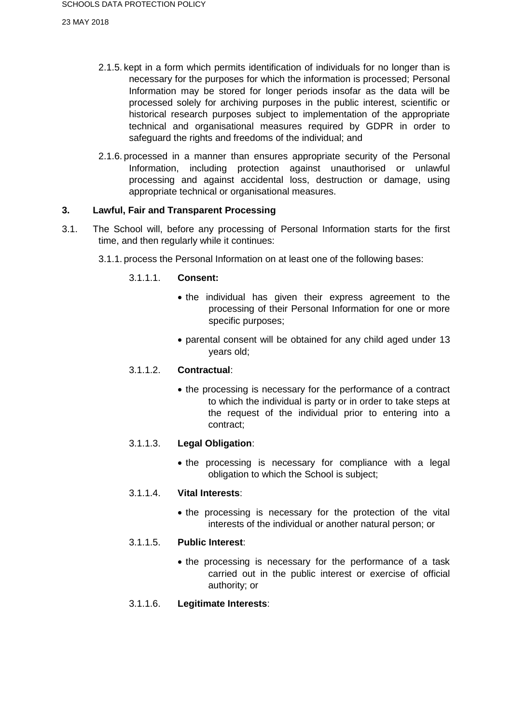- 2.1.5. kept in a form which permits identification of individuals for no longer than is necessary for the purposes for which the information is processed; Personal Information may be stored for longer periods insofar as the data will be processed solely for archiving purposes in the public interest, scientific or historical research purposes subject to implementation of the appropriate technical and organisational measures required by GDPR in order to safeguard the rights and freedoms of the individual; and
- 2.1.6. processed in a manner than ensures appropriate security of the Personal Information, including protection against unauthorised or unlawful processing and against accidental loss, destruction or damage, using appropriate technical or organisational measures.

# **3. Lawful, Fair and Transparent Processing**

- 3.1. The School will, before any processing of Personal Information starts for the first time, and then regularly while it continues:
	- 3.1.1. process the Personal Information on at least one of the following bases:

## 3.1.1.1. **Consent:**

- the individual has given their express agreement to the processing of their Personal Information for one or more specific purposes;
- parental consent will be obtained for any child aged under 13 years old;

#### 3.1.1.2. **Contractual**:

• the processing is necessary for the performance of a contract to which the individual is party or in order to take steps at the request of the individual prior to entering into a contract;

#### 3.1.1.3. **Legal Obligation**:

• the processing is necessary for compliance with a legal obligation to which the School is subject;

#### 3.1.1.4. **Vital Interests**:

• the processing is necessary for the protection of the vital interests of the individual or another natural person; or

## 3.1.1.5. **Public Interest**:

• the processing is necessary for the performance of a task carried out in the public interest or exercise of official authority; or

#### 3.1.1.6. **Legitimate Interests**: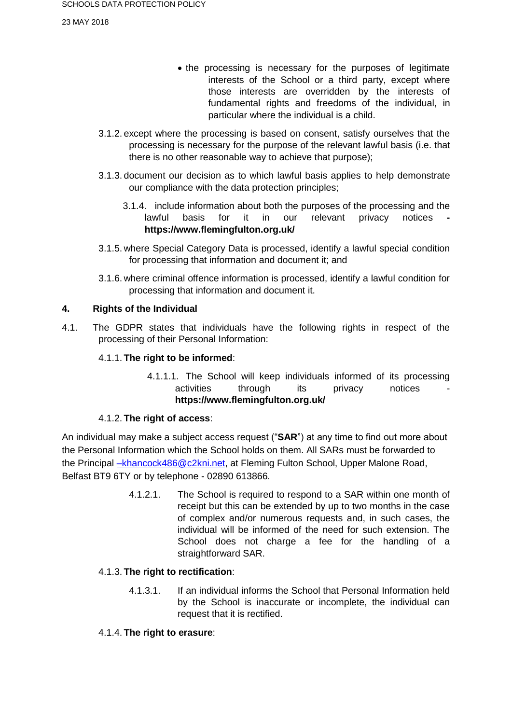23 MAY 2018

- the processing is necessary for the purposes of legitimate interests of the School or a third party, except where those interests are overridden by the interests of fundamental rights and freedoms of the individual, in particular where the individual is a child.
- 3.1.2. except where the processing is based on consent, satisfy ourselves that the processing is necessary for the purpose of the relevant lawful basis (i.e. that there is no other reasonable way to achieve that purpose);
- 3.1.3. document our decision as to which lawful basis applies to help demonstrate our compliance with the data protection principles;
	- 3.1.4. include information about both the purposes of the processing and the lawful basis for it in our relevant privacy notices **https://www.flemingfulton.org.uk/**
- 3.1.5. where Special Category Data is processed, identify a lawful special condition for processing that information and document it; and
- 3.1.6. where criminal offence information is processed, identify a lawful condition for processing that information and document it.

# **4. Rights of the Individual**

4.1. The GDPR states that individuals have the following rights in respect of the processing of their Personal Information:

# 4.1.1. **The right to be informed**:

4.1.1.1. The School will keep individuals informed of its processing activities through its privacy notices **https://www.flemingfulton.org.uk/**

# 4.1.2. **The right of access**:

An individual may make a subject access request ("**SAR**") at any time to find out more about the Personal Information which the School holds on them. All SARs must be forwarded to the Principal -khancock486@c2kni.net, at Fleming Fulton School, Upper Malone Road, Belfast BT9 6TY or by telephone - 02890 613866.

> 4.1.2.1. The School is required to respond to a SAR within one month of receipt but this can be extended by up to two months in the case of complex and/or numerous requests and, in such cases, the individual will be informed of the need for such extension. The School does not charge a fee for the handling of a straightforward SAR.

# 4.1.3. **The right to rectification**:

4.1.3.1. If an individual informs the School that Personal Information held by the School is inaccurate or incomplete, the individual can request that it is rectified.

# 4.1.4. **The right to erasure**: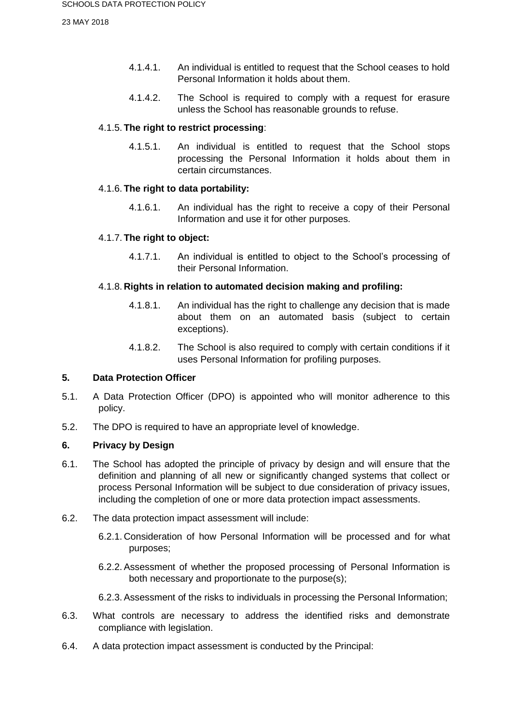- 4.1.4.1. An individual is entitled to request that the School ceases to hold Personal Information it holds about them.
- 4.1.4.2. The School is required to comply with a request for erasure unless the School has reasonable grounds to refuse.

# 4.1.5. **The right to restrict processing**:

4.1.5.1. An individual is entitled to request that the School stops processing the Personal Information it holds about them in certain circumstances.

# 4.1.6. **The right to data portability:**

4.1.6.1. An individual has the right to receive a copy of their Personal Information and use it for other purposes.

# 4.1.7. **The right to object:**

4.1.7.1. An individual is entitled to object to the School's processing of their Personal Information.

# 4.1.8. **Rights in relation to automated decision making and profiling:**

- 4.1.8.1. An individual has the right to challenge any decision that is made about them on an automated basis (subject to certain exceptions).
- 4.1.8.2. The School is also required to comply with certain conditions if it uses Personal Information for profiling purposes.

# **5. Data Protection Officer**

- 5.1. A Data Protection Officer (DPO) is appointed who will monitor adherence to this policy.
- 5.2. The DPO is required to have an appropriate level of knowledge.

# **6. Privacy by Design**

- 6.1. The School has adopted the principle of privacy by design and will ensure that the definition and planning of all new or significantly changed systems that collect or process Personal Information will be subject to due consideration of privacy issues, including the completion of one or more data protection impact assessments.
- 6.2. The data protection impact assessment will include:
	- 6.2.1. Consideration of how Personal Information will be processed and for what purposes;
	- 6.2.2. Assessment of whether the proposed processing of Personal Information is both necessary and proportionate to the purpose(s);
	- 6.2.3. Assessment of the risks to individuals in processing the Personal Information;
- 6.3. What controls are necessary to address the identified risks and demonstrate compliance with legislation.
- 6.4. A data protection impact assessment is conducted by the Principal: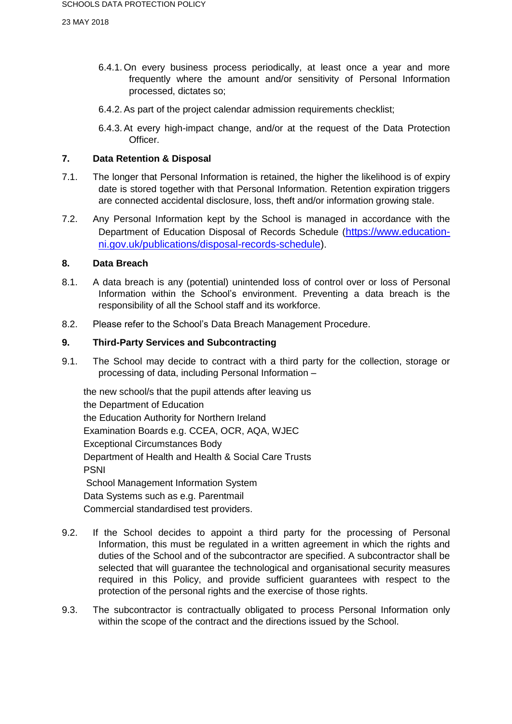- 6.4.1. On every business process periodically, at least once a year and more frequently where the amount and/or sensitivity of Personal Information processed, dictates so;
- 6.4.2. As part of the project calendar admission requirements checklist;
- 6.4.3. At every high-impact change, and/or at the request of the Data Protection Officer.

# **7. Data Retention & Disposal**

- 7.1. The longer that Personal Information is retained, the higher the likelihood is of expiry date is stored together with that Personal Information. Retention expiration triggers are connected accidental disclosure, loss, theft and/or information growing stale.
- 7.2. Any Personal Information kept by the School is managed in accordance with the Department of Education Disposal of Records Schedule ([https://www.education](https://www.education-ni.gov.uk/publications/disposal-records-schedule)[ni.gov.uk/publications/disposal-records-schedule\)](https://www.education-ni.gov.uk/publications/disposal-records-schedule).

# **8. Data Breach**

- 8.1. A data breach is any (potential) unintended loss of control over or loss of Personal Information within the School's environment. Preventing a data breach is the responsibility of all the School staff and its workforce.
- 8.2. Please refer to the School's Data Breach Management Procedure.

# **9. Third-Party Services and Subcontracting**

9.1. The School may decide to contract with a third party for the collection, storage or processing of data, including Personal Information –

the new school/s that the pupil attends after leaving us the Department of Education the Education Authority for Northern Ireland Examination Boards e.g. CCEA, OCR, AQA, WJEC Exceptional Circumstances Body Department of Health and Health & Social Care Trusts PSNI School Management Information System Data Systems such as e.g. Parentmail Commercial standardised test providers.

- 9.2. If the School decides to appoint a third party for the processing of Personal Information, this must be regulated in a written agreement in which the rights and duties of the School and of the subcontractor are specified. A subcontractor shall be selected that will guarantee the technological and organisational security measures required in this Policy, and provide sufficient guarantees with respect to the protection of the personal rights and the exercise of those rights.
- 9.3. The subcontractor is contractually obligated to process Personal Information only within the scope of the contract and the directions issued by the School.